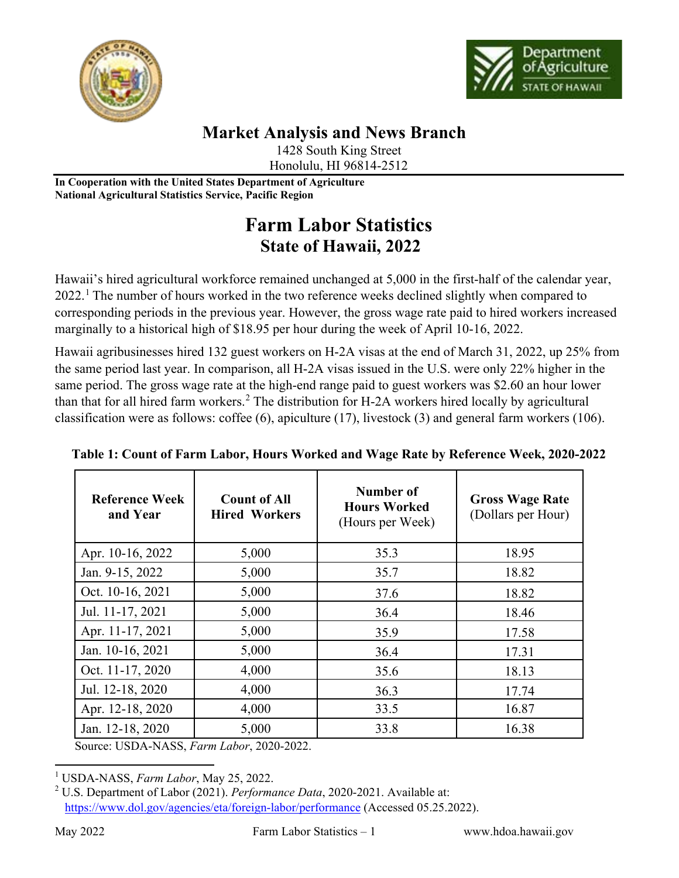



## **Market Analysis and News Branch**

1428 South King Street Honolulu, HI 96814-2512

**In Cooperation with the United States Department of Agriculture National Agricultural Statistics Service, Pacific Region**

## **Farm Labor Statistics State of Hawaii, 2022**

Hawaii's hired agricultural workforce remained unchanged at 5,000 in the first-half of the calendar year, 2022.<sup>[1](#page-0-0)</sup> The number of hours worked in the two reference weeks declined slightly when compared to corresponding periods in the previous year. However, the gross wage rate paid to hired workers increased marginally to a historical high of \$18.95 per hour during the week of April 10-16, 2022.

Hawaii agribusinesses hired 132 guest workers on H-2A visas at the end of March 31, 2022, up 25% from the same period last year. In comparison, all H-2A visas issued in the U.S. were only 22% higher in the same period. The gross wage rate at the high-end range paid to guest workers was \$2.60 an hour lower than that for all hired farm workers.<sup>[2](#page-0-1)</sup> The distribution for H-2A workers hired locally by agricultural classification were as follows: coffee (6), apiculture (17), livestock (3) and general farm workers (106).

| <b>Reference Week</b><br>and Year | <b>Count of All</b><br><b>Hired Workers</b> | Number of<br><b>Hours Worked</b><br>(Hours per Week) | <b>Gross Wage Rate</b><br>(Dollars per Hour) |
|-----------------------------------|---------------------------------------------|------------------------------------------------------|----------------------------------------------|
| Apr. 10-16, 2022                  | 5,000                                       | 35.3                                                 | 18.95                                        |
| Jan. 9-15, 2022                   | 5,000                                       | 35.7                                                 | 18.82                                        |
| Oct. 10-16, 2021                  | 5,000                                       | 37.6                                                 | 18.82                                        |
| Jul. 11-17, 2021                  | 5,000                                       | 36.4                                                 | 18.46                                        |
| Apr. 11-17, 2021                  | 5,000                                       | 35.9                                                 | 17.58                                        |
| Jan. 10-16, 2021                  | 5,000                                       | 36.4                                                 | 17.31                                        |
| Oct. 11-17, 2020                  | 4,000                                       | 35.6                                                 | 18.13                                        |
| Jul. 12-18, 2020                  | 4,000                                       | 36.3                                                 | 17.74                                        |
| Apr. 12-18, 2020                  | 4,000                                       | 33.5                                                 | 16.87                                        |
| Jan. 12-18, 2020                  | 5,000                                       | 33.8                                                 | 16.38                                        |

**Table 1: Count of Farm Labor, Hours Worked and Wage Rate by Reference Week, 2020-2022**

Source: USDA-NASS, *Farm Labor*, 2020-2022.

<span id="page-0-0"></span><sup>1</sup> USDA-NASS, *Farm Labor*, May 25, 2022.

<span id="page-0-1"></span><sup>2</sup> U.S. Department of Labor (2021). *Performance Data*, 2020-2021. Available at: <https://www.dol.gov/agencies/eta/foreign-labor/performance> (Accessed 05.25.2022).